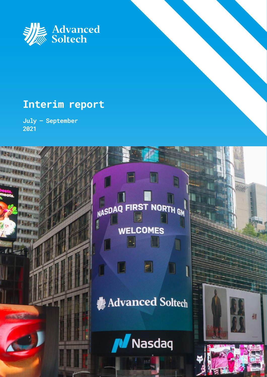

## **Interim report**

**July – September 2021**

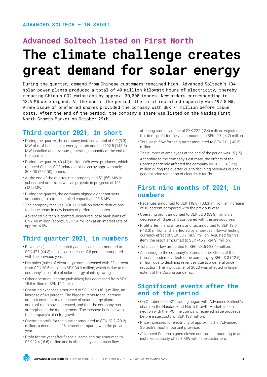## **Advanced Soltech listed on First North The climate challenge creates great demand for solar energy**

During the quarter, demand from Chinese customers remained high. Advanced Soltech's 134 solar power plants produced a total of 49 million kilowatt hours of electricity, thereby reducing China's CO2 emissions by approx. 30,000 tonnes. New orders corresponding to 13.6 MW were signed. At the end of the period, the total installed capacity was 192.5 MW. A new issue of preferred shares provided the company with SEK 71 million before issue costs. After the end of the period, the company's share was listed on the Nasdaq First North Growth Market on October 29th.

## **Third quarter 2021, in short**

- During the quarter, the company installed a total of 0.0 (3.3) MW of roof-based solar energy plants and had 192.5 (143.3) MW installed and revenue-generating capacity at the end of the quarter.
- During the quarter, 49 (41) million kWh were produced, which reduced China's CO2-related emissions by approximately 30,000 (25,000) tonnes.
- At the end of the quarter, the company had 51 (55) MW in subscribed orders, as well as projects in progress of 125 (134) MW.
- During the quarter, the company signed eight contracts amounting to a total installed capacity of 13.6 MW.
- The company receives SEK 71.0 million before deductions for issue costs in new issues of preference shares.
- Advanced Soltech is granted unsecured local bank loans of CNY 40 million (approx. SEK 54 million) at an interest rate of approx. 4.6%.

## **Third quarter 2021, in numbers**

- Revenues (sales of electricity and subsidies) amounted to SEK 47.1 (44.3) million, an increase of 6 percent compared with the previous year.
- Net sales (sales of electricity) have increased with 22 percent from SEK 28.6 million to SEK 34.9 million, which is due to the company's portfolio of solar energy plants growing.
- Other operating income (subsidies) has decreased from SEK 15.6 million to SEK 12.2 million.
- Operating expenses amounted to SEK 23.9 (16.1) million, an increase of 48 percent. The biggest items to the increase are that costs for maintenance of solar energy plants and roof rents have increased, and that the company has strengthened the management. The increase is in line with the company's plan for growth.
- • Operating profit for the quarter amounted to SEK 23.2 (28.2) million, a decrease of 18 percent compared with the previous year.
- • Profit for the year after financial items and tax amounted to SEK 12.4 (-6.6) million and is affected by a non-cash flow-

affecting currency effect of SEK 22.1 (-2,4) million. Adjusted for this item, profit for the year amounted to SEK -9.7 (-4.2) million.

- Total cash flow for the quarter amounted to SEK 21.1 (-49.6) million.
- The number of employees at the end of the period was 15 (15).
- According to the company's estimate, the effects of the Corona pandemic affected the company by SEK -1.4 (-2.0) million during the quarter, due to declining revenues due to a general price reduction of electricity tariffs.

## **First nine months of 2021, in numbers**

- Revenues amounted to SEK 119.8 (103.3) million, an increase of 16 percent compared with the previous year.
- • Operating profit amounted to SEK 52.0 (59.9) million, a decrease of 13 percent compared with the previous year.
- • Profit after financial items and tax amounted to SEK 12.0 (-43.3) million and is affected by a non-cash flow-affecting currency effect of SEK 58.7 (-8.5) million. Adjusted for this item, the result amounted to SEK -46.7 (-34.9) million.
- Total cash flow amounted to SEK -24.5 (-28.4) million.
- According to the company's estimate, the effects of the Corona pandemic affected the company by SEK -3.3 (-12.5) million, due to declining revenues due to a general price reduction. The first quarter of 2020 was affected in larger extent of the Corona pandemic.

## **Significant events after the end of the period**

- On October 29, 2021, trading began with Advanced Soltech's share on the Nasdaq First North Growth Market. In connection with the IPO, the company received issue proceeds, before issue costs, of SEK 198 million.
- Price increases for electricity of approx. 15% in Advanced Soltech's most important province.
- Advanced Soltech signed eleven contracts amounting to an installed capacity of 22.7 MW with nine customers.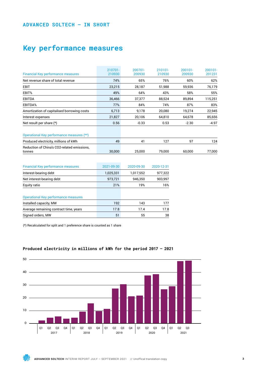## **ADVANCED SOLTECH – IN SHORT**

## **Key performance measures**

| <b>Financial Key performance measures</b>             | 210701-<br>210930 | 200701-<br>200930 | 210101-<br>210930 | $200101 -$<br>200930 | 200101-<br>201231 |
|-------------------------------------------------------|-------------------|-------------------|-------------------|----------------------|-------------------|
| Net revenue share of total revenue                    | 74%               | 65%               | 76%               | 60%                  | 62%               |
| <b>EBIT</b>                                           | 23,215            | 28,187            | 51,988            | 59,936               | 76,179            |
| EBIT%                                                 | 49%               | 64%               | 43%               | 58%                  | 55%               |
| <b>EBITDA</b>                                         | 36,466            | 37,377            | 88,524            | 89,894               | 115,251           |
| EBITDA%                                               | 77%               | 84%               | 74%               | 87%                  | 83%               |
| Amortization of capitalised borrowing costs           | 6,713             | 9,178             | 20,080            | 19,274               | 22,945            |
| Interest expenses                                     | 21,827            | 20.106            | 64.810            | 64.678               | 85,656            |
| Net result per share $(*)$                            | 0.56              | $-0.33$           | 0.53              | $-2.30$              | -4.97             |
| Operational Key performance measures (**)             |                   |                   |                   |                      |                   |
| Produced electricity, millions of kWh                 | 49                | 41                | 127               | 97                   | 124               |
| Reduction of China's CO2-related emissions,<br>tonnes | 30.000            | 25,000            | 79.000            | 60.000               | 77,000            |

| <b>Financial Key performance measures</b>   | 2021-09-30 | 2020-09-30 | 2020-12-31 |
|---------------------------------------------|------------|------------|------------|
| Interest-bearing debt                       | 1,025,331  | 1,017,552  | 977,322    |
| Net interest-bearing debt                   | 973,721    | 946,350    | 903,997    |
| Equity ratio                                | 21%        | 19%        | 16%        |
| <b>Operational Key performance measures</b> |            |            |            |
| Installed capacity, MW                      | 192        | 143        | 177        |
| Average remaining contract time, years      | 17.8       | 17.4       | 17.8       |
| Signed orders, MW                           | 51         | 55         | 38         |

(\*) Recalculated for split and 1 preference share is counted as 1 share



## **Produced electricity in millions of kWh for the period 2017 – 2021**

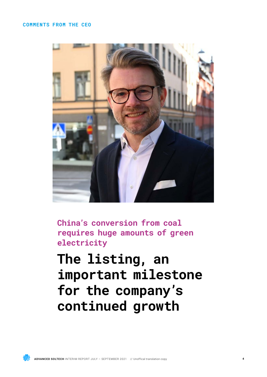## **COMMENTS FROM THE CEO**



**China's conversion from coal requires huge amounts of green electricity**

**The listing, an important milestone for the company's continued growth**

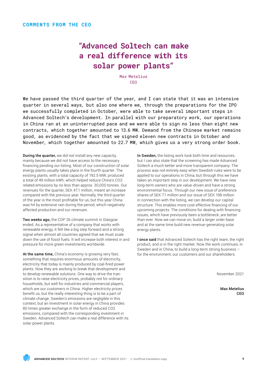## **"Advanced Soltech can make a real difference with its solar power plants"**

Max Metelius CEO

We have passed the third quarter of the year, and I can state that it was an intensive quarter in several ways, but also one where we, through the preparations for the IPO we successfully completed in October, were able to take several important steps in Advanced Soltech's development. In parallel with our preparatory work, our operations in China ran at an uninterrupted pace and we were able to sign no less than eight new contracts, which together amounted to 13.6 MW. Demand from the Chinese market remains good, as evidenced by the fact that we signed eleven new contracts in October and November, which together amounted to 22.7 MW, which gives us a very strong order book.

**During the quarter,** we did not install any new capacity, mainly because we did not have access to the necessary financing pending our listing. Most of our construction of solar energy plants usually takes place in the fourth quarter. The existing plants, with a total capacity of 192.5 MW, produced a total of 49 million kWh, which helped reduce China's CO2 related emissions by no less than approx. 30,000 tonnes. Our revenues for the quarter, SEK 47.1 million, meant an increase compared with the previous year. Normally, the third quarter of the year is the most profitable for us, but this year China was hit by extensive rain during the period, which negatively affected production and our revenues.

Two weeks ago, the COP 26 climate summit in Glasgow ended. As a representative of a company that works with renewable energy, it felt like a big step forward and a strong signal when almost all countries agreed that we must scale down the use of fossil fuels. It will increase both interest in and pressure for more green investments worldwide.

At the same time, China's economy is growing very fast. something that requires enormous amounts of electricity, electricity that today is mainly produced by coal-fired power plants. Now they are working to break that development and to develop renewable solutions. One way to drive the transition is to raise electricity prices, probably not for ordinary households, but well for industries and commercial players, which are our customers in China. Higher electricity prices benefit us, but the really interesting thing is to be a part of climate change. Sweden's emissions are negligible in this context, but an investment in solar energy in China provides 80 times greater exchange in the form of reduced CO2 emissions, compared with the corresponding investment in Sweden. Advanced Soltech can make a real difference with its solar power plants.

In Sweden, the listing work took both time and resources, but I can also state that the screening has made Advanced Soltech a much better and more transparent company. The process was not entirely easy when Swedish rules were to be applied to our operations in China, but through this we have taken an important step in our development. We have new long-term owners who are value-driven and have a strong environmental focus. Through our new issue of preference shares of SEK 71 million and our issue of SEK 198 million in connection with the listing, we can develop our capital structure. This enables more cost-effective financing of our upcoming projects. The conditions for dealing with financing issues, which have previously been a bottleneck, are better than ever. Now we can move on, build a larger order base and at the same time build new revenue-generating solar energy plants.

I once said that Advanced Soltech has the right team, the right product, and is in the right market. Now the work continues, in Sweden and in China, to build a long-term strong business – for the environment, our customers and our shareholders.

November 2021

Max Metelius CEO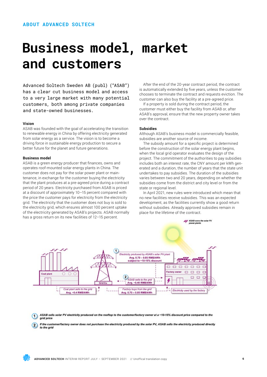## **Business model, market and customers**

Advanced Soltech Sweden AB (publ) ("ASAB") has a clear cut business model and access to a very large market with many potential customers, both among private companies and state-owned businesses.

## **Vision**

ASAB was founded with the goal of accelerating the transition to renewable energy in China by offering electricity generated from solar energy as a service. The vision is to become a driving force in sustainable energy production to secure a better future for the planet and future generations.

#### **Business model**

ASAB is a green energy producer that finances, owns and operates roof-mounted solar energy plants in China. The customer does not pay for the solar power plant or maintenance, in exchange for the customer buying the electricity that the plant produces at a pre-agreed price during a contract period of 20 years. Electricity purchased from ASAB is priced at a discount of approximately 10–15 percent compared with the price the customer pays for electricity from the electricity grid. The electricity that the customer does not buy is sold to the electricity grid, which ensures almost 100 percent uptake of the electricity generated by ASAB's projects. ASAB normally has a gross return on its new facilities of 12-15 percent.

After the end of the 20-year contract period, the contract is automatically extended by five years, unless the customer chooses to terminate the contract and requests eviction. The customer can also buy the facility at a pre-agreed price.

If a property is sold during the contract period, the customer must either buy the facility from ASAB or, after ASAB's approval, ensure that the new property owner takes over the contract.

## **Subsidies**

Although ASAB's business model is commercially feasible, subsidies are another source of income.

The subsidy amount for a specific project is determined before the construction of the solar energy plant begins, when the local grid operator evaluates the design of the project. The commitment of the authorities to pay subsidies includes both an interest rate, the CNY amount per kWh generated and a duration, the number of years that the state unit undertakes to pay subsidies. The duration of the subsidies varies between two and 20 years, depending on whether the subsidies come from the district and city level or from the state or regional level.

In April 2021, new rules were introduced which mean that no new facilities receive subsidies. This was an expected development, as the facilities currently show a good return without subsidies. Already approved subsidies remain in place for the lifetime of the contract.



- ASAB sells solar PV electricity produced on the rooftop to the customen actory owner at a ~10-15% discount price compared to the  $\left( 1\right)$ grid price
- If the customer/factory owner does not purchase the electricity produced by the solar PV, ASAB sells the electricity produced directly  $(2)$ to the grid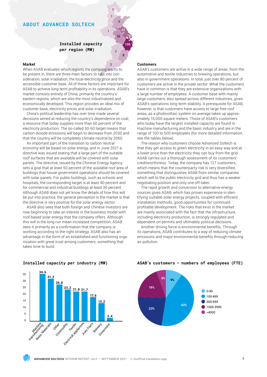## **ABOUT ADVANCED SOLTECH**

## **Installed capacity per region (MW)**

1

1 1

6

16 47

3

106

8

 $\overline{2}$ 

 $\overline{2}$ 

## **Market**

When ASAB evaluates which regions the company wants to be present in, there are three main factors to take into consideration, solar irradiation, the local electricity price and the accessible customer base. All of these factors are important for ASAB to achieve long-term profitability in its operations. ASAB's market consists entirely of China, primarily the country's eastern regions, which are also the most industrialized and economically developed. This region provides an ideal mix of customer base, electricity prices and solar irradiation.

China's political leadership has over time made several decisions aimed at reducing the country's dependence on coal, a resource that today supplies more than 60 percent of the electricity production. The so-called 30-60 target means that carbon dioxide emissions will begin to decrease from 2030 and that the country will be completely climate-neutral by 2060.

An important part of the transition to carbon neutral economy will be based on solar energy, and in June 2021 a directive was issued stating that a large part of the suitable roof surfaces that are available will be covered with solar panels. The directive, issued by the Chinese Energy Agency, sets a goal that at least 50 percent of the available roof area of buildings that house government operations should be covered with solar panels. For public buildings, such as schools and hospitals, the corresponding target is at least 40 percent and for commercial and industrial buildings at least 30 percent. Although ASAB does not yet know the details of how this will be put into practice, the general perception in the market is that the directive is very positive for the solar energy sector.

ASAB also sees that both foreign and Chinese investors are now beginning to take an interest in the business model with roof-based solar energy that the company offers. Although this will in the long run mean increased competition, ASAB sees it primarily as a confirmation that the company is working according to the right strategy. ASAB also has an advantage in the form of an established and functioning organization with great trust among customers, something that takes time to build.

## **Customers**

ASAB's customers are active in a wide range of areas, from the automotive and textile industries to brewing operations, but also in government operations. In total, just over 80 percent of customers are active in the private sector. What the customers have in common is that they are extensive organizations with a large number of employees. A customer base with mainly large customers, also spread across different industries, gives ASAB's operations long-term stability. A prerequisite for ASAB, however, is that customers have access to large free roof areas, as a photovoltaic system on average takes up approximately 15,000 square meters. Those of ASAB's customers who today have the largest installed capacity are found in machine manufacturing and the basic industry and are in the range of 100 to 500 employees (for more detailed information, see the tables below).

The reason why customers choose Advanced Soltech is that they get access to green electricity in an easy way and at a lower price than the electricity they can buy from the grid. ASAB carries out a thorough assessment of its customers' creditworthiness. Today, the company has 127 customers, which means that the counterparty risk is very diversified, something that distinguishes ASAB from similar companies which sell to the public electricity grid and thus has a weaker negotiating position and only one off-taker.

The rapid growth and conversion to alternative energy sources gives ASAB, which has proven experience in identifying suitable solar energy projects, coupled with efficient installation methods, good opportunities for continued profitable development. The risks that exist in the market are mainly associated with the fact that the infrastructure, including electricity production, is strongly regulated and dependent on permits and ultimately political decisions.

Another driving force is environmental benefits. Through its operations, ASAB contributes to a way of reducing climate emissions and major environmental benefits through reducing air pollution.



## **Installed capacity per industry (MW)**

**ASAB's customers – numbers of employees (FTE)** 

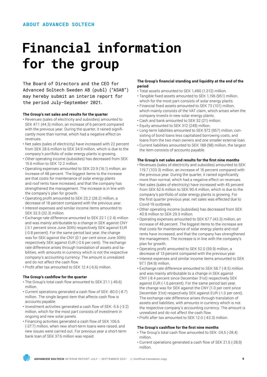# **Financial information for the group**

The Board of Directors and the CEO for Advanced Soltech Sweden AB (publ) ("ASAB") may hereby submit an interim report for the period July–September 2021.

## **The Group's net sales and results for the quarter**

- Revenues (sales of electricity and subsidies) amounted to SEK 47.1 (44.3) million, an increase of 6 percent compared with the previous year. During the quarter, it rained significantly more than normal, which had a negative effect on revenues.
- Net sales (sales of electricity) have increased with 22 percent from SEK 28.6 million to SEK 34.9 million, which is due to the company's portfolio of solar energy plants is growing.
- Other operating income (subsidies) has decreased from SEK 15.6 million to SEK 12.2 million.
- Operating expenses amounted to SEK 23.9 (16.1) million, an increase of 48 percent. The biggest items to the increase are that costs for maintenance of solar energy plants and roof rents have increased, and that the company has strengthened the management. The increase is in line with the company's plan for growth.
- • Operating profit amounted to SEK 23.2 (28.2) million, a decrease of 18 percent compared with the previous year.
- Interest expenses and similar income items amounted to SEK 32.5 (32.3) million.
- Exchange rate difference amounted to SEK 22.1 (-2.4) million and was mainly attributable to a change in SEK against CNY (-3.1 percent since June 30th) respectively SEK against EUR (-0.8 percent). For the same period last year, the change was for SEK against the CNY (0.1 per cent since June 30th) respectively SEK against EUR (-0.6 per cent). The exchange rate difference arises through translation of assets and liabilities, with amounts in currency which is not the respective company's accounting currency. The amount is unrealized and do not affect the cash flow.
- Profit after tax amounted to SEK 12.4 (-6.6) million.

## **The Group's cashflow for the quarter**

- The Group's total cash flow amounted to SEK 21.1 (-49.6) million.
- Current operations generated a cash flow of SEK -80.0 (-8.7) million. The single largest item that affects cash flow is accounts payable.
- Investment activities generated a cash flow of SEK -5.6 (-3.2) million, which for the most part consists of investment in ongoing and new solar panels.
- Financing activities generated a cash flow of SEK 106.6 (-37.7) million, when new short-term loans were raised, and new issues were carried out. For previous year a short-term bank loan of SEK 37.6 million was repaid.

## **The Group's financial standing and liquidity at the end of the period**

- Total assets amounted to SEK 1,480 (1,312) million.
- Tangible fixed assets amounted to SEK 1,196 (951) million, which for the most part consists of solar energy plants.
- • Financial fixed assets amounted to SEK 73 (101) million, which mainly consists of the VAT claim, which arises when the company invests in new solar energy plants.
- Cash and bank amounted to SEK 52 (21) million.
- Equity amounted to SEK 312 (249) million.
- Long-term liabilities amounted to SEK 972 (957) million, consisting of bond loans less capitalized borrowing costs, and loans from the two main owners and one smaller external loan.
- Current liabilities amounted to SEK 188 (98) million, the largest the item consists of accounts payable.

## **The Group's net sales and results for the first nine months**

- Revenues (sales of electricity and subsidies) amounted to SEK 119.7 (103.3) million, an increase of 16 percent compared with the previous year. During the quarter, it rained significantly more than normal, which had a negative effect on revenues.
- Net sales (sales of electricity) have increased with 45 percent from SEK 62.6 million to SEK 90.4 million, which is due to the company's portfolio of solar energy plants is growing. For the first quarter previous year, net sales was effected due to Covid-19 outbreak.
- Other operating income (subsidies) has decreased from SEK 40.8 million to SEK 29.3 million.
- Operating expenses amounted to SEK 67.7 (43.3) million, an increase of 48 percent. The biggest items to the increase are that costs for maintenance of solar energy plants and roof rents have increased, and that the company has strengthened the management. The increase is in line with the company's plan for growth.
- Operating profit amounted to SEK 52.0 (59.9) million, a decrease of 13 percent compared with the previous year.
- Interest expenses and similar income items amounted to SEK 97.1 (94.9) million.
- Exchange rate difference amounted to SEK 58.7 (-8.5) million and was mainly attributable to a change in SEK against CNY (-8.4 percent since December 31st) respectively SEK against EUR (-1.6 percent). For the same period last year, the change was for SEK against the CNY (1.0 per cent since December 31st) respectively SEK against EUR (-1.0 per cent). The exchange rate difference arises through translation of assets and liabilities, with amounts in currency which is not the respective company's accounting currency. The amount is unrealized and do not affect the cash flow.
- Profit after tax amounted to SEK 12.0 (-43.3) million.

## **The Group's cashflow for the first nine months**

- The Group's total cash flow amounted to SEK -24,5 (-28,4) million.
- Current operations generated a cash flow of SEK 21,5 (-28,9) million.

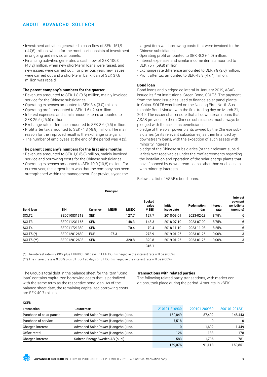## **ABOUT ADVANCED SOLTECH**

- Investment activities generated a cash flow of SEK -151,9 (-47,6) million, which for the most part consists of investment in ongoing and new solar panels.
- Financing activities generated a cash flow of SEK 106,0 (48,2) million, when new short-term loans were raised, and new issues were carried out. For previous year, new issues were carried out and a short-term bank loan of SEK 37.6 million was repaid.

## **The parent company's numbers for the quarter**

- Revenues amounted to SEK 1.8 (0.6) million, mainly invoiced service for the Chinese subsidiaries.
- Operating expenses amounted to SEK 3.4 (3.0) million.
- • Operating profit amounted to SEK -1.6 (-2.4) million.
- Interest expenses and similar income items amounted to SEK 25.5 (25.6) million.
- Exchange rate difference amounted to SEK 3.6 (0.5) million.
- Profit after tax amounted to SEK -4.3 (-8.9) million. The main reason for the improved result is the exchange rate gain.
- The number of employees at the end of the period was 4 (3).

## **The parent company's numbers for the first nine months**

- Revenues amounted to SEK 1,8 (6,8) million, mainly invoiced service and borrowing costs for the Chinese subsidiaries.
- Operating expenses amounted to SEK 10,0 (10,8) million. For current year, the largest item was that the company has been strengthened within the management. For previous year, the

largest item was borrowing costs that were invoiced to the Chinese subsidiaries.

- Operating profit amounted to SEK -8,2 (-4,0) million.
- Interest expenses and similar income items amounted to SEK 75,7 (69,8) million.
- Exchange rate difference amounted to SEK 7,9 (2,0) million.
- Profit after tax amounted to SEK -18,9 (-17,7) million.

## **Bond loan**

Bond loans and pledged collateral In January 2019, ASAB issued its first institutional Green Bond, SOLT5. The payment from the bond issue has used to finance solar panel plants in China. SOLT5 was listed on the Nasdaq First North Sustainable Bond Market with the first trading day on March 21, 2019. The issuer shall ensure that all downstream loans that ASAB provides to them Chinese subsidiaries must always be pledged with the issuer as beneficiaries:

- pledge of the solar power plants owned by the Chinese subsidiaries (or its relevant subsidiaries) as then financed by downstream loans, with the exception of such assets with minority interests;
- pledge of the Chinese subsidiaries (or their relevant subsidiaries) over receivables under the roof agreements regarding the installation and operation of the solar energy plants that have financed by downstream loans other than such assets with minority interests.

Below is a list of ASAB's bond loans.

|                   | Principal    |            |             |             |                                       |                              |                   |                  |                                                       |
|-------------------|--------------|------------|-------------|-------------|---------------------------------------|------------------------------|-------------------|------------------|-------------------------------------------------------|
| <b>Bond loan</b>  | <b>ISIN</b>  | Currency   | <b>MEUR</b> | <b>MSEK</b> | <b>Booked</b><br>value<br><b>MSEK</b> | <b>Initial</b><br>issue date | Redemption<br>day | Interest<br>rate | <b>Interest</b><br>payment<br>periodicity<br>(months) |
| SOLT <sub>2</sub> | SE0010831313 | <b>SEK</b> |             | 127.7       | 127.7                                 | 2018-03-01                   | 2023-02-28        | 8,75%            | 6                                                     |
| SOLT3             | SE0011231166 | <b>SEK</b> |             | 148.3       | 148.3                                 | 2018-07-10                   | 2023-07-09        | 8,75%            | 6                                                     |
| SOLT4             | SE0011721380 | <b>SEK</b> |             | 70.4        | 70.4                                  | 2018-11-10                   | 2023-11-08        | 8,25%            | 6                                                     |
| SOLT5 $(*)$       | SE0012012680 | <b>EUR</b> | 27.3        |             | 278.9                                 | 2019-01-25                   | 2023-01-25        | 9,00%            | 3                                                     |
| SOLT5 (**)        | SE0012012698 | <b>SEK</b> |             | 320.8       | 320.8                                 | 2019-01-25                   | 2023-01-25        | 9,00%            | 3                                                     |
|                   |              |            |             |             | 946.1                                 |                              |                   |                  |                                                       |

(\*) The interest rate is 9.00% plus EURIBOR 90 days (if EURIBOR is negative the interest rate will be 9.00%)

(\*\*) The interest rate is 9.00% plus STIBOR 90 days (if STIBOR is negative the interest rate will be 9.00%)

The Group's total debt in the balance sheet for the item "Bond loan" contains capitalized borrowing costs that is periodized with the same term as the respective bond loan. As of the balance sheet date, the remaining capitalized borrowing costs are SEK 40.7 million.

### **Transactions with related parties**

The following related party transactions, with market conditions, took place during the period. Amounts in kSEK.

| ۰. |  |
|----|--|

| Transaction              | Counterpart                          | 210101-210930 | 200101-200930 | 200101-201231 |
|--------------------------|--------------------------------------|---------------|---------------|---------------|
| Purchase of solar panels | Advanced Solar Power (Hangzhou) Inc. | 160.849       | 87.492        | 148,443       |
| Purchase of service      | Advanced Solar Power (Hangzhou) Inc. | 7,518         |               | $\mathbf{0}$  |
| Charged interest         | Advanced Solar Power (Hangzhou) Inc. |               | 1.692         | 1,449         |
| Office rental            | Advanced Solar Power (Hangzhou) Inc. | 126           | 133           | 178           |
| Charged interest         | Soltech Energy Sweden AB (publ)      | 583           | 1.796         | 781           |
|                          |                                      | 169.076       | 91,113        | 150.851       |

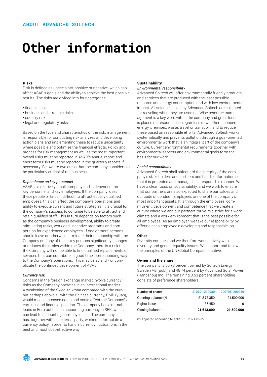## **Other information**

## **Risks**

Risk is defined as uncertainty, positive or negative, which can affect ASAB's goals and the ability to achieve the best possible results. The risks are divided into four categories:

- • financial risks
- business and strategic risks
- country risk
- legal and regulatory risks.

Based on the type and characteristics of the risk, management is responsible for conducting risk analyzes and developing action plans and implementing these to reduce uncertainty where possible and optimize the financial effects. Policy and process for risk management as well as the most important overall risks must be reported in ASAB's annual report and short-term risks must be reported in the quarterly reports if necessary. Below are two areas that the company considers to be particularly critical of the business.

### *Dependance on key personnel*

ASAB is a relatively small company and is dependent on key personnel and key employees. If the company loses these people or finds it difficult to attract equally qualified employees, this can affect the company's operations and ability to execute current and future strategies. It is crucial for the company's success to continue to be able to attract and retain qualified staff. This in turn depends on factors such as the company's business development, ability to create stimulating tasks, workload, incentive programs and competition for experienced employees. If one or more persons should leave or otherwise terminate their relationship with the Company or if any of these key persons significantly changes or reduces their roles within the Company, there is a risk that the Company will not be able to find qualified replacements or services that can contribute in good time. corresponding way to the Company's operations. This may delay and / or complicate the continued development of ASAB.

## *Currency risk*

Concerns in the foreign exchange market involve currency risks as the Company operates in an international market. A weakening of the Swedish krona compared with the euro, but perhaps above all with the Chinese currency, RMB (yuan), would mean increased costs and could affect the Company's earnings and financial position. The company has external loans in Euro but has an accounting currency in SEK, which can lead to accounting currency losses. The company has, together with an external party, worked to formulate a currency policy in order to handle currency fluctuations in the best and most cost-effective way.

## **Sustainability**

## *Environmental responsibility*

Advanced Soltech will offer environmentally friendly products and services that are produced with the least possible resource and energy consumption and with low environmental impact. All solar cells sold by Advanced Soltech are collected for recycling when they are used up. Wise resource management is a key word within the company and great focus is placed on resource use, regardless of whether it concerns energy, premises, waste, travel or transport, and to reduce these based on reasonable efforts. Advanced Soltech works systematically and prevents pollution through a goal-oriented environmental work that is an integral part of the company's culture. Current environmental requirements together with environmental aspects and environmental goals form the basis for our work.

### *Social responsibility*

Advanced Soltech shall safeguard the integrity of the company's stakeholders and partners and handle information so that it is protected and managed in a responsible manner. We have a clear focus on sustainability, and we work to ensure that our partners are also expected to share our values and our code of conduct. Employees are one of the company's most important assets. It is through the employees' commitment, development and competence that we create a culture where we and our partners thrive. We strive for a work climate and a work environment that is the best possible for all employees. As an employer, we take our responsibility by offering each employee a developing and responsible job.

### **Other**

Diversity enriches and we therefore work actively with diversity and gender equality issues. We support and follow the principles of the UN Global Compact initiative.

## **Owner and the share**

The company is 50.73 percent owned by Soltech Energy Sweden AB (publ) and 48.74 percent by Advanced Solar Power (Hangzhou) Inc. The remaining 0.53 percent shareholding consists of preference shareholders.

| Number of shares    | 210701-210930 | 200701-200930 |
|---------------------|---------------|---------------|
| Opening balance (*) | 21,578,350    | 21,500,000    |
| Rights issue        | 35.450        | 0             |
| Closing balance     | 21,613,800    | 21,500,000    |

(\*) Adjusted according to split 50:1, 2021-05-27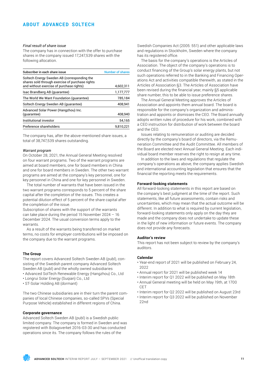## *Final result of share issue*

The company has in connection with the offer to purchase shares in the company issued 17,247,539 shares with the following allocation.

| Subscriber in each share issue                                                                                                             | <b>Number of shares</b> |
|--------------------------------------------------------------------------------------------------------------------------------------------|-------------------------|
| Soltech Energy Sweden AB (corresponding the<br>shares sold through exercise of purchase rights<br>and without exercise of purchase rights) | 4,602,311               |
| Isac Brandberg AB (quarantee)                                                                                                              | 1,177,777               |
| The World We Want Foundation (quarantee)                                                                                                   | 785,184                 |
| Soltech Energy Sweden AB (quarantee)                                                                                                       | 408,941                 |
| Advanced Solar Power (Hangzhou) Inc.<br>(quarantee)                                                                                        | 408,940                 |
| Institutional investor                                                                                                                     | 54,165                  |
| Preference shareholders                                                                                                                    | 9.810.221               |

The company has, after the above-mentioned share issues, a total of 38,747,539 shares outstanding.

### *Warrant program*

On October 28, 2021, the Annual General Meeting resolved on four warrant programs. Two of the warrant programs are aimed at board members, one for board members in China and one for board members in Sweden. The other two warrant programs are aimed at the company's key personnel, one for key personnel in China and one for key personnel in Sweden.

The total number of warrants that have been issued in the two warrant programs corresponds to 5 percent of the share capital after the completion of the issues. This creates a potential dilution effect of 5 percent of the share capital after the completion of the issue.

Subscription of shares with the support of the warrants can take place during the period 15 November 2024 – 16 December 2024. The usual conversion terms apply to the warrants.

As a result of the warrants being transferred on market terms, no costs for employer contributions will be imposed on the company due to the warrant programs.

## **The Group**

The report covers Advanced Soltech Sweden AB (publ), consisting of the Swedish parent company Advanced Soltech Sweden AB (publ) and the wholly owned subsidiaries

- Advanced SolTech Renewable Energy (Hangzhou) Co., Ltd
- Longrui Solar Energy (Suqian) Co., Ltd
- ST-Solar Holding AB (dormant)

The two Chinese subsidiaries are in their turn the parent companies of local Chinese companies, so-called SPVs (Special Purpose Vehicle) established in different regions of China.

## **Corporate governance**

Advanced Soltech Sweden AB (publ) is a Swedish public limited company. The company is formed in Sweden and was registered with Bolagsverket 2016-03-30 and has conducted operations since its. The company follows the rules of the

Swedish Companies Act (2005: 551) and other applicable laws and regulations in Stockholm, Sweden where the company has its registered office.

The basis for the company's operations is the Articles of Association. The object of the company's operations is to conduct financing of the Group's solar energy plants, but not such operations referred to in the Banking and Financing Operations Act and activities compatible therewith, as stated in the Articles of Association §3. The Articles of Association have been revised during the financial year, mainly §5 applicable share number, this to be able to issue preference shares.

The Annual General Meeting approves the Articles of Association and appoints them annual board. The board is responsible for the company's organization and administration and appoints or dismisses the CEO. The Board annually adopts written rules of procedure for his work, combined with a CEO instruction for distribution of work between the board and the CEO.

Issues relating to remuneration or auditing are decided directly by the company's board of directors, via the Remuneration Committee and the Audit Committee. All members of the Board are elected next Annual General Meeting. Each individual board member reserves the right to resign at any time.

In addition to the laws and regulations that regulate the company's operations as above, the company applies Swedish and international accounting legislation that ensures that the financial the reporting meets the requirements.

## **Forward-looking statements**

All forward-looking statements in this report are based on the company's best judgment at the time of the report. Such statements, like all future assessments, contain risks and uncertainties, which may mean that the actual outcome will be different. In addition to what is required by current legislation, forward-looking statements only apply on the day they are made and the company does not undertake to update these in the light of new information or future events. The company does not provide any forecasts.

## **Auditor's review**

This report has not been subject to review by the company's auditors.

### **Calendar**

- Year-end report of 2021 will be published on February 24, 2022
- Annual report for 2021 will be published week 14
- Interim report for Q1 2022 will be published on May 18th
- Annual General meeting will be held on May 19th, at 1700 **CET**
- Interim report for Q2 2022 will be published on August 23rd
- Interim report for Q3 2022 will be published on November 22nd

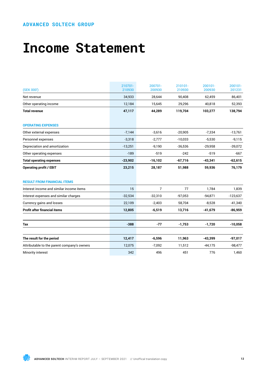## **Income Statement**

| (SEK 000')                                  | 210701-<br>210930 | 200701-<br>200930 | 210101-<br>210930 | 200101-<br>200930 | 200101-<br>201231 |
|---------------------------------------------|-------------------|-------------------|-------------------|-------------------|-------------------|
| Net revenue                                 | 34,933            | 28,644            | 90.408            | 62,459            | 86,401            |
| Other operating income                      | 12,184            | 15,645            | 29,296            | 40,818            | 52,393            |
| <b>Total revenue</b>                        | 47,117            | 44,289            | 119,704           | 103,277           | 138,794           |
| <b>OPERATING EXPENSES</b>                   |                   |                   |                   |                   |                   |
| Other external expenses                     | $-7,144$          | $-3,616$          | $-20,905$         | $-7,334$          | $-13,761$         |
| Personnel expenses                          | $-3,318$          | $-2,777$          | $-10,033$         | $-5,530$          | $-9,115$          |
| Depreciation and amortization               | $-13,251$         | $-9,190$          | $-36,536$         | $-29,958$         | $-39,072$         |
| Other operating expenses                    | $-189$            | $-519$            | $-242$            | $-519$            | $-667$            |
| <b>Total operating expenses</b>             | $-23,902$         | $-16,102$         | $-67,716$         | $-43,341$         | $-62,615$         |
| <b>Operating profit / EBIT</b>              | 23,215            | 28,187            | 51,988            | 59,936            | 76,179            |
| <b>RESULT FROM FINANCIAL ITEMS</b>          |                   |                   |                   |                   |                   |
| Interest income and similar income items    | 15                | $\overline{7}$    | 77                | 1,784             | 1,839             |
| Interest expenses and similar charges       | $-32,534$         | $-32,310$         | $-97,053$         | $-94.871$         | $-123,637$        |
| Currency gains and losses                   | 22,109            | $-2,403$          | 58,704            | $-8,528$          | $-41,340$         |
| <b>Profit after financial items</b>         | 12,805            | $-6,519$          | 13,716            | $-41,679$         | $-86,959$         |
| Tax                                         | $-388$            | $-77$             | $-1,753$          | $-1,720$          | $-10,058$         |
| The result for the period                   | 12,417            | $-6,596$          | 11,963            | $-43,399$         | $-97,017$         |
| Attributable to the parent company's owners | 12,075            | $-7,092$          | 11,512            | $-44,175$         | $-98,477$         |
| Minority interest                           | 342               | 496               | 451               | 776               | 1,460             |

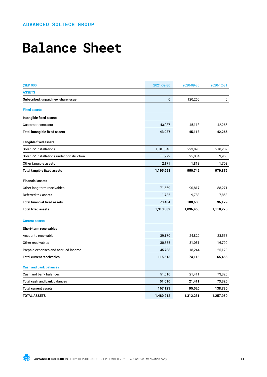## **Balance Sheet**

| (SEK 000')                                | 2021-09-30 | 2020-09-30 | 2020-12-31 |
|-------------------------------------------|------------|------------|------------|
| <b>ASSETS</b>                             |            |            |            |
| Subscribed, unpaid new share issue        | $\bf{0}$   | 120,250    | 0          |
| <b>Fixed assets</b>                       |            |            |            |
| Intangible fixed assets                   |            |            |            |
| <b>Customer contracts</b>                 | 43,987     | 45,113     | 42,266     |
| <b>Total intangible fixed assets</b>      | 43,987     | 45,113     | 42,266     |
| <b>Tangible fixed assets</b>              |            |            |            |
| <b>Solar PV installations</b>             | 1,181,548  | 923,890    | 918,209    |
| Solar PV installations under construction | 11,979     | 25,034     | 59,963     |
| Other tangible assets                     | 2,171      | 1,818      | 1,703      |
| <b>Total tangible fixed assets</b>        | 1,195,698  | 950,742    | 979,875    |
| <b>Financial assets</b>                   |            |            |            |
| Other long-term receivables               | 71,669     | 90,817     | 88,271     |
| Deferred tax assets                       | 1,735      | 9,783      | 7,858      |
| <b>Total financial fixed assets</b>       | 73,404     | 100,600    | 96,129     |
| <b>Total fixed assets</b>                 | 1,313,089  | 1,096,455  | 1,118,270  |
| <b>Current assets</b>                     |            |            |            |
| <b>Short-term receivables</b>             |            |            |            |
| Accounts receivable                       | 39,170     | 24,820     | 23,537     |
| Other receivables                         | 30,555     | 31,051     | 16,790     |
| Prepaid expenses and accrued income       | 45,788     | 18,244     | 25,128     |
| <b>Total current receivables</b>          | 115,513    | 74,115     | 65,455     |
| <b>Cash and bank balances</b>             |            |            |            |
| Cash and bank balances                    | 51,610     | 21,411     | 73,325     |
| Total cash and bank balances              | 51,610     | 21,411     | 73,325     |
| <b>Total current assets</b>               | 167,123    | 95,526     | 138,780    |
| <b>TOTAL ASSETS</b>                       | 1,480,212  | 1,312,231  | 1,257,050  |

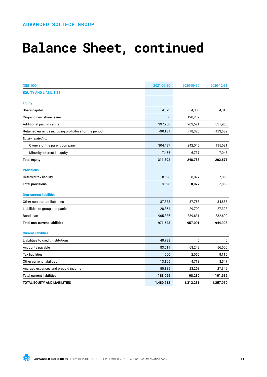## **Balance Sheet, continued**

| (SEK 000')                                             | 2021-09-30   | 2020-09-30   | 2020-12-31 |
|--------------------------------------------------------|--------------|--------------|------------|
| <b>EQUITY AND LIABILITIES</b>                          |              |              |            |
| <b>Equity</b>                                          |              |              |            |
| Share capital                                          | 4,323        | 4,300        | 4,316      |
| Ongoing new share issue                                | $\mathbf{0}$ | 120,237      | 0          |
| Additional paid in capital                             | 397,750      | 202,571      | 331,950    |
| Retained earnings including profit/loss for the period | $-90,181$    | $-78,325$    | $-133,589$ |
| Equity related to:                                     |              |              |            |
| Owners of the parent company                           | 304,437      | 242,046      | 195,631    |
| Minority interest in equity                            | 7,455        | 6,737        | 7,046      |
| <b>Total equity</b>                                    | 311,892      | 248,783      | 202,677    |
| <b>Provisions</b>                                      |              |              |            |
| Deferred tax liability                                 | 8,698        | 8,077        | 7,853      |
| <b>Total provisions</b>                                | 8,698        | 8,077        | 7,853      |
| <b>Non-current liabilities</b>                         |              |              |            |
| Other non-current liabilities                          | 37,833       | 37,758       | 34,886     |
| Liabilities to group companies                         | 28,354       | 29,702       | 27,323     |
| Bond loan                                              | 905,336      | 889,631      | 882,699    |
| <b>Total non-current liabilities</b>                   | 971,523      | 957,091      | 944,908    |
| <b>Current liabilities</b>                             |              |              |            |
| Liabilities to credit institutions                     | 40,788       | $\mathbf{0}$ | 0          |
| Accounts payable                                       | 83,511       | 68,249       | 56,600     |
| <b>Tax liabilities</b>                                 | 560          | 2,055        | 9,116      |
| Other current liabilities                              | 13,105       | 4,713        | 8,547      |
| Accrued expenses and prepaid income                    | 50,135       | 23,263       | 27,349     |
| <b>Total current liabilities</b>                       | 188,099      | 98,280       | 101,612    |
| <b>TOTAL EQUITY AND LIABILITIES</b>                    | 1,480,212    | 1,312,231    | 1,257,050  |

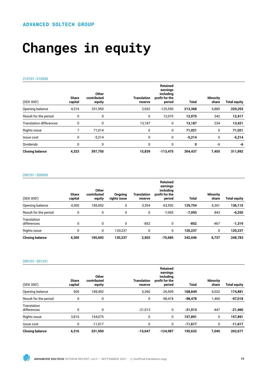# **Changes in equity**

## 210701–210930

| (SEK 000')                     | <b>Share</b><br>capital | Other<br>contributed<br>equity | <b>Translation</b><br>reserve | <b>Retained</b><br>earnings<br>including<br>profit for the<br>period | <b>Total</b> | <b>Minority</b><br>share | <b>Total equity</b> |
|--------------------------------|-------------------------|--------------------------------|-------------------------------|----------------------------------------------------------------------|--------------|--------------------------|---------------------|
| Opening balance                | 4,316                   | 331,950                        | 2,652                         | $-125,550$                                                           | 213,368      | 6,885                    | 220,253             |
| Result for the period          | 0                       | 0                              | 0                             | 12,075                                                               | 12,075       | 342                      | 12,417              |
| <b>Translation differences</b> | 0                       | 0                              | 13,187                        | 0                                                                    | 13,187       | 234                      | 13,421              |
| Rights issue                   |                         | 71.014                         | 0                             | 0                                                                    | 71,021       | 0                        | 71,021              |
| Issue cost                     | 0                       | $-5,214$                       | 0                             | 0                                                                    | $-5,214$     | 0                        | $-5,214$            |
| <b>Dividends</b>               | 0                       | 0                              | 0                             | 0                                                                    | 0            | -6                       | -6                  |
| <b>Closing balance</b>         | 4,323                   | 397,750                        | 15,839                        | $-113,475$                                                           | 304,437      | 7,455                    | 311,892             |

## 200701–200930

| (SEK 000')                 | <b>Share</b><br>capital | <b>Other</b><br>contributed<br>equity | Ongoing<br>rights issue | Translation<br>reserve | <b>Retained</b><br>earnings<br>including<br>profit for the<br>period | Total    | <b>Minority</b><br>share | <b>Total equity</b> |
|----------------------------|-------------------------|---------------------------------------|-------------------------|------------------------|----------------------------------------------------------------------|----------|--------------------------|---------------------|
| Opening balance            | 4.300                   | 185.692                               | 0                       | 3.354                  | $-63.592$                                                            | 129,754  | 6,361                    | 136,115             |
| Result for the period      | 0                       | 0                                     | 0                       | 0                      | $-7,093$                                                             | $-7,093$ | 843                      | $-6,250$            |
| Translation<br>differences | $\mathbf 0$             | 0                                     | 0                       | $-852$                 | 0                                                                    | $-852$   | $-467$                   | $-1,319$            |
| Rights issue               | 0                       | 0                                     | 120.237                 | 0                      | 0                                                                    | 120,237  | 0                        | 120,237             |
| <b>Closing balance</b>     | 4,300                   | 185,692                               | 120,237                 | 2,502                  | $-70,685$                                                            | 242.046  | 6,737                    | 248,783             |

### 200101–201231

| (SEK 000')                 | <b>Share</b><br>capital | Other<br>contributed<br>equity | <b>Translation</b><br>reserve | <b>Retained</b><br>earnings<br>including<br>profit for the<br>period | <b>Total</b> | <b>Minority</b><br>share | <b>Total equity</b> |
|----------------------------|-------------------------|--------------------------------|-------------------------------|----------------------------------------------------------------------|--------------|--------------------------|---------------------|
| Opening balance            | 500                     | 189,492                        | 5,366                         | $-26,509$                                                            | 168,849      | 6,032                    | 174,881             |
| Result for the period      | 0                       | 0                              | 0                             | $-98,478$                                                            | $-98,478$    | 1,460                    | $-97,018$           |
| Translation<br>differences | 0                       | 0                              | $-21,013$                     | 0                                                                    | $-21,013$    | $-447$                   | $-21,460$           |
| <b>Rights issue</b>        | 3,816                   | 154,075                        | 0                             | 0                                                                    | 157,891      | 0                        | 157,891             |
| Issue cost                 | 0                       | $-11.617$                      | 0                             | 0                                                                    | $-11,617$    | 0                        | -11,617             |
| <b>Closing balance</b>     | 4,316                   | 331,950                        | $-15,647$                     | $-124,987$                                                           | 195,632      | 7,045                    | 202,677             |

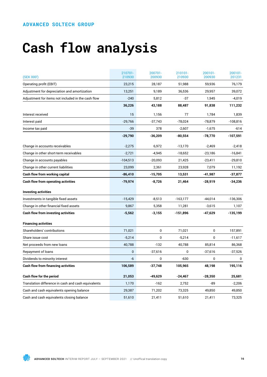# **Cash flow analysis**

| (SEK 000')                                          | 210701-<br>210930 | 200701-<br>200930 | 210101-<br>210930 | 200101-<br>200930 | 200101-<br>201231 |
|-----------------------------------------------------|-------------------|-------------------|-------------------|-------------------|-------------------|
| Operating profit (EBIT)                             | 23,215            | 28,187            | 51,988            | 59,936            | 76,179            |
| Adjustment for depreciation and amortization        | 13,251            | 9,189             | 36,536            | 29,957            | 39,072            |
| Adjustment for items not included in the cash flow  | $-240$            | 5,812             | $-37$             | 1,945             | $-4,019$          |
|                                                     | 36,226            | 43,188            | 88,487            | 91,838            | 111,232           |
| Interest received                                   | 15                | 1,156             | 77                | 1,784             | 1,839             |
| Interest paid                                       | $-29,766$         | $-37,743$         | $-78,024$         | $-78,879$         | $-108,816$        |
| Income tax paid                                     | $-39$             | 378               | $-2,607$          | $-1,675$          | -614              |
|                                                     | $-29,790$         | $-36,209$         | $-80,554$         | $-78,770$         | -107,591          |
| Change in accounts receivables                      | $-2,275$          | 6,972             | $-13,170$         | $-2,469$          | $-2,418$          |
| Change in other short-term receivables              | $-2,721$          | $-4,945$          | $-18,652$         | $-23,186$         | $-16,841$         |
| Change in accounts payables                         | $-104,513$        | $-20,093$         | 21,425            | $-23,411$         | $-29,810$         |
| Change in other current liabilities                 | 23,099            | 2,361             | 23,928            | 7,079             | 11,192            |
| Cash flow from working capital                      | $-86,410$         | $-15,705$         | 13,531            | -41,987           | -37,877           |
| <b>Cash flow from operating activities</b>          | $-79,974$         | $-8,726$          | 21,464            | $-28,919$         | $-34,236$         |
| <b>Investing activities</b>                         |                   |                   |                   |                   |                   |
| Investments in tangible fixed assets                | $-15,429$         | $-8,513$          | $-163,177$        | $-44,014$         | $-136,306$        |
| Change in other financial fixed assets              | 9,867             | 5,358             | 11,281            | $-3,615$          | 1,107             |
| <b>Cash flow from investing activities</b>          | $-5,562$          | $-3,155$          | $-151,896$        | $-47,629$         | $-135,199$        |
| <b>Financing activities</b>                         |                   |                   |                   |                   |                   |
| Shareholders' contributions                         | 71,021            | 0                 | 71,021            | $\mathbf 0$       | 157,891           |
| Share issue cost                                    | $-5,214$          | $\mathbf 0$       | $-5,214$          | $\mathbf 0$       | $-11,617$         |
| Net proceeds from new loans                         | 40,788            | $-132$            | 40,788            | 85,814            | 86,368            |
| Repayment of loans                                  | $\mathbf{0}$      | $-37,616$         | $\mathbf 0$       | $-37,616$         | $-37,526$         |
| Dividends to minority interest                      | -6                | 0                 | $-630$            | 0                 | 0                 |
| <b>Cash flow from financing activities</b>          | 106,589           | $-37,748$         | 105,965           | 48,198            | 195,116           |
| Cash flow for the period                            | 21,053            | $-49,629$         | $-24,467$         | $-28,350$         | 25,681            |
| Translation difference in cash and cash equivalents | 1,170             | $-162$            | 2,752             | -89               | $-2,206$          |
| Cash and cash equivalents opening balance           | 29,387            | 71,202            | 73,325            | 49,850            | 49,850            |
| Cash and cash equivalents closing balance           | 51,610            | 21,411            | 51,610            | 21,411            | 73,325            |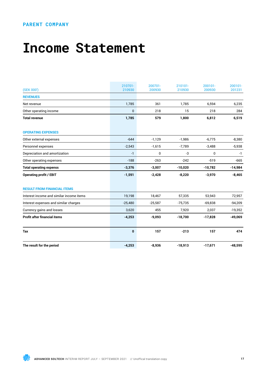## **PARENT COMPANY**

## **Income Statement**

| (SEK 000')                               | 210701-<br>210930 | 200701-<br>200930 | 210101-<br>210930 | 200101-<br>200930 | 200101-<br>201231 |
|------------------------------------------|-------------------|-------------------|-------------------|-------------------|-------------------|
| <b>REVENUES</b>                          |                   |                   |                   |                   |                   |
| Net revenue                              | 1,785             | 361               | 1,785             | 6,594             | 6,235             |
| Other operating income                   | 0                 | 218               | 15                | 218               | 284               |
| <b>Total revenue</b>                     | 1,785             | 579               | 1,800             | 6,812             | 6,519             |
| <b>OPERATING EXPENSES</b>                |                   |                   |                   |                   |                   |
| Other external expenses                  | $-644$            | $-1,129$          | $-1,986$          | $-6.775$          | $-8,380$          |
| Personnel expenses                       | $-2,543$          | $-1,615$          | $-7,789$          | $-3,488$          | $-5,938$          |
| Depreciation and amortization            | $-1$              | 0                 | -3                | 0                 | $-1$              |
| Other operating expenses                 | $-188$            | $-263$            | $-242$            | $-519$            | $-665$            |
| <b>Total operating expenss</b>           | $-3,376$          | $-3,007$          | $-10,020$         | $-10,782$         | $-14,984$         |
| <b>Operating profit / EBIT</b>           | $-1,591$          | $-2,428$          | $-8,220$          | $-3,970$          | $-8,465$          |
| <b>RESULT FROM FINANCIAL ITEMS</b>       |                   |                   |                   |                   |                   |
| Interest income and similar income items | 19,198            | 18,467            | 57,335            | 53,943            | 72,957            |
| Interest expenses and similar charges    | $-25,480$         | $-25,587$         | $-75,735$         | $-69,838$         | $-94,209$         |
| Currency gains and losses                | 3,620             | 455               | 7,920             | 2,037             | $-19,352$         |
| <b>Profit after financial items</b>      | $-4,253$          | $-9,093$          | $-18,700$         | $-17,828$         | $-49,069$         |
| Tax                                      | $\bf{0}$          | 157               | $-213$            | 157               | 474               |
| The result for the period                | $-4,253$          | $-8,936$          | $-18,913$         | $-17,671$         | $-48,595$         |

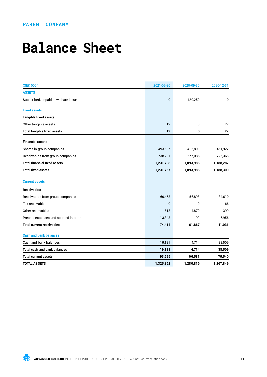## **PARENT COMPANY**

## **Balance Sheet**

| (SEK 000')                          | 2021-09-30   | 2020-09-30 | 2020-12-31 |
|-------------------------------------|--------------|------------|------------|
| <b>ASSETS</b>                       |              |            |            |
| Subscribed, unpaid new share issue  | $\mathbf 0$  | 120,250    | 0          |
| <b>Fixed assets</b>                 |              |            |            |
| <b>Tangible fixed assets</b>        |              |            |            |
| Other tangible assets               | 19           | 0          | 22         |
| <b>Total tangible fixed assets</b>  | 19           | 0          | 22         |
| <b>Financial assets</b>             |              |            |            |
| Shares in group companies           | 493,537      | 416,899    | 461,922    |
| Receivables from group companies    | 738,201      | 677,086    | 726,365    |
| <b>Total financial fixed assets</b> | 1,231,738    | 1,093,985  | 1,188,287  |
| <b>Total fixed assets</b>           | 1,231,757    | 1,093,985  | 1,188,309  |
| <b>Current assets</b>               |              |            |            |
| <b>Receivables</b>                  |              |            |            |
| Receivables from group companies    | 60,453       | 56,898     | 34,610     |
| Tax receivable                      | $\mathbf{0}$ | 0          | 66         |
| Other receivables                   | 618          | 4,870      | 399        |
| Prepaid expenses and accrued income | 13,343       | 99         | 5,956      |
| <b>Total current receivables</b>    | 74,414       | 61,867     | 41,031     |
| <b>Cash and bank balances</b>       |              |            |            |
| Cash and bank balances              | 19,181       | 4,714      | 38,509     |
| <b>Total cash and bank balances</b> | 19,181       | 4,714      | 38,509     |
| <b>Total current assets</b>         | 93,595       | 66,581     | 79,540     |
| <b>TOTAL ASSETS</b>                 | 1,325,352    | 1,280,816  | 1,267,849  |

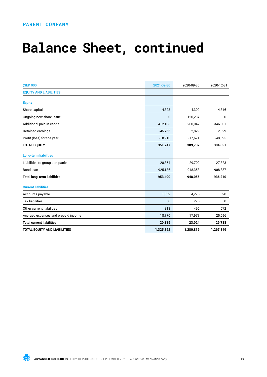## **PARENT COMPANY**

## **Balance Sheet, continued**

| (SEK 000')                          | 2021-09-30   | 2020-09-30 | 2020-12-31  |
|-------------------------------------|--------------|------------|-------------|
| <b>EQUITY AND LIABILITIES</b>       |              |            |             |
| <b>Equity</b>                       |              |            |             |
| Share capital                       | 4,323        | 4,300      | 4,316       |
| Ongoing new share issue             | 0            | 120,237    | 0           |
| Additional paid in capital          | 412,103      | 200,042    | 346,301     |
| Retained earnings                   | $-45,766$    | 2,829      | 2,829       |
| Profit (loss) for the year          | $-18,913$    | $-17,671$  | $-48,595$   |
| <b>TOTAL EQUITY</b>                 | 351,747      | 309,737    | 304,851     |
| <b>Long-term liabilities</b>        |              |            |             |
| Liabilities to group companies      | 28,354       | 29,702     | 27,323      |
| Bond loan                           | 925,136      | 918,353    | 908,887     |
| <b>Total long-term liabilities</b>  | 953,490      | 948,055    | 936,210     |
| <b>Current liabilities</b>          |              |            |             |
| Accounts payable                    | 1,032        | 4,276      | 620         |
| <b>Tax liabilities</b>              | $\mathbf{0}$ | 276        | $\mathbf 0$ |
| Other current liabilities           | 313          | 495        | 572         |
| Accrued expenses and prepaid income | 18,770       | 17,977     | 25,596      |
| <b>Total current liabilities</b>    | 20,115       | 23,024     | 26,788      |
| TOTAL EQUITY AND LIABILITIES        | 1,325,352    | 1,280,816  | 1,267,849   |

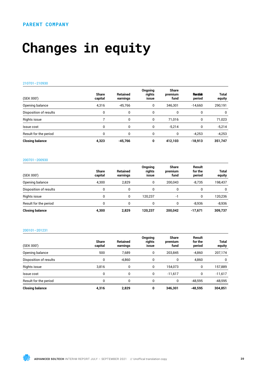# **Changes in equity**

## 210701–210930

| (SEK 000')             | <b>Share</b><br>capital | <b>Retained</b><br>earnings | Ongoing<br>rights<br><b>ISSUE</b> | <b>Share</b><br>premium<br>fund | Restale<br>period | <b>Total</b><br>equity |
|------------------------|-------------------------|-----------------------------|-----------------------------------|---------------------------------|-------------------|------------------------|
| Opening balance        | 4,316                   | $-45.766$                   | 0                                 | 346.301                         | $-14.660$         | 290,191                |
| Disposition of results | 0                       | 0                           | 0                                 | 0                               | 0                 | 0                      |
| Rights issue           |                         | $\mathbf{0}$                | 0                                 | 71,016                          | 0                 | 71,023                 |
| Issue cost             | 0                       | $\Omega$                    | 0                                 | $-5.214$                        | 0                 | $-5,214$               |
| Result for the period  | ŋ                       | $\Omega$                    | 0                                 | 0                               | $-4.253$          | $-4,253$               |
| <b>Closing balance</b> | 4,323                   | $-45.766$                   | 0                                 | 412.103                         | $-18.913$         | 351,747                |

## 200701–200930

| (SEK 000')             | <b>Share</b><br>capital | Retained<br>earnings | Ongoing<br>rights<br><b>ISSUE</b> | <b>Share</b><br>premium<br>fund | Result<br>for the<br>period | <b>Total</b><br>equity |
|------------------------|-------------------------|----------------------|-----------------------------------|---------------------------------|-----------------------------|------------------------|
| Opening balance        | 4.300                   | 2.829                | 0                                 | 200.043                         | $-8.735$                    | 198,437                |
| Disposition of results | 0                       | 0                    |                                   | 0                               |                             | 0                      |
| Rights issue           | 0                       | 0                    | 120.237                           | -1                              | 0                           | 120,236                |
| Result for the period  |                         | $\mathbf{0}$         | 0                                 | 0                               | $-8.936$                    | $-8,936$               |
| <b>Closing balance</b> | 4.300                   | 2,829                | 120.237                           | 200.042                         | $-17.671$                   | 309,737                |

### 200101–201231

| (SEK 000')             | <b>Share</b><br>capital | <b>Retained</b><br>earnings | Ongoing<br>rights<br><b>issue</b> | <b>Share</b><br>premium<br>fund | Result<br>for the<br>period | <b>Total</b><br>equity |
|------------------------|-------------------------|-----------------------------|-----------------------------------|---------------------------------|-----------------------------|------------------------|
| Opening balance        | 500                     | 7.689                       | 0                                 | 203.845                         | $-4,860$                    | 207,174                |
| Disposition of results | 0                       | $-4,860$                    | 0                                 | 0                               | 4.860                       | $\Omega$               |
| Rights issue           | 3,816                   | 0                           | 0                                 | 154.073                         | 0                           | 157,889                |
| Issue cost             | 0                       | 0                           | 0                                 | $-11.617$                       | 0                           | $-11,617$              |
| Result for the period  | 0                       | 0                           | 0                                 | 0                               | -48,595                     | $-48,595$              |
| <b>Closing balance</b> | 4,316                   | 2.829                       | 0                                 | 346,301                         | $-48.595$                   | 304,851                |

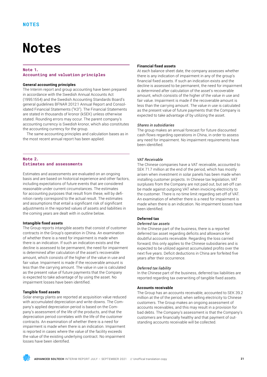## **Notes**

## **Note 1. Accounting and valuation principles**

## **General accounting principles**

The Interim report and group accounting have been prepared in accordance with the Swedish Annual Accounts Act (1995:1554) and the Swedish Accounting Standards Board's general guidelines BFNAR 2012:1 Annual Report and Consolidated Financial Statements ("K3"). The Financial Statements are stated in thousands of kronor (kSEK) unless otherwise stated. Rounding errors may occur. The parent company's accounting currency is Swedish kronor, which also constitutes the accounting currency for the group.

The same accounting principles and calculation bases as in the most recent annual report has been applied.

## **Note 2. Estimates and assessments**

Estimates and assessments are evaluated on an ongoing basis and are based on historical experience and other factors, including expectations of future events that are considered reasonable under current circumstances. The estimates for accounting purposes that result from these, will by definition rarely correspond to the actual result. The estimates and assumptions that entail a significant risk of significant adjustments in the reported values of assets and liabilities in the coming years are dealt with in outline below.

## **Intangible fixed assets**

The Group reports intangible assets that consist of customer contracts in the Group's operation in China. An examination of whether there is a need for impairment is made when there is an indication. If such an indication exists and the decline is assessed to be permanent, the need for impairment is determined after calculation of the asset's recoverable amount, which consists of the higher of the value in use and fair value. Impairment is made if the recoverable amount is less than the carrying amount. The value in use is calculated as the present value of future payments that the Company is expected to take advantage of by using the asset. No impairment losses have been identified.

## **Tangible fixed assets**

Solar energy plants are reported at acquisition value reduced with accumulated depreciation and write-downs. The Company's applied depreciation period is based on the Company's assessment of the life of the products, and that the depreciation period correlates with the life of the customer contracts. An examination of whether there is a need for impairment is made when there is an indication. Impairment is reported in cases where the value of the facility exceeds the value of the existing underlying contract. No impairment losses have been identified.

## **Financial fixed assets**

At each balance sheet date, the company assesses whether there is any indication of impairment in any of the group's financial fixed assets. If such an indication exists and the decline is assessed to be permanent, the need for impairment is determined after calculation of the asset's recoverable amount, which consists of the higher of the value in use and fair value. Impairment is made if the recoverable amount is less than the carrying amount. The value in use is calculated as the present value of future payments that the Company is expected to take advantage of by utilizing the asset.

## *Shares in subsidiaries*

The group makes an annual forecast for future discounted cash flows regarding operations in China, in order to assess any need for impairment. No impairment requirements have been identified.

## *VAT Receivable*

The Chinese companies have a VAT receivable, accounted to SEK 71.7 million at the end of the period, which has mostly arisen when investment in solar panels has been made when installing customer projects. In Chinese tax legislation, VAT surpluses from the Company are not paid out, but set-off can be made against outgoing VAT when invoicing electricity to the customer. There is no time limit regarding set-off of VAT. An examination of whether there is a need for impairment is made when there is an indication. No impairment losses have been identified.

## **Deferred tax**

## *Deferred tax assets*

In the Chinese part of the business, there is a reported deferred tax asset regarding deficits and allowance for doubtful accounts receivable. Regarding the loss carried forward, this only applies to the Chinese subsidiaries and is expected to be utilized against accumulated profits over the next five years. Deficit deductions in China are forfeited five years after their occurrence.

### *Deferred tax liability*

In the Chinese part of the business, deferred tax liabilities are reported regarding tax overwriting of tangible fixed assets.

## **Accounts receivable**

The Group has an accounts receivable, accounted to SEK 39.2 million at the of the period, when selling electricity to Chinese customers. The Group makes an ongoing assessment of accounts receivables, and this may result in a provision for bad debts. The Company's assessment is that the Company's customers are financially healthy and that payment of outstanding accounts receivable will be collected.

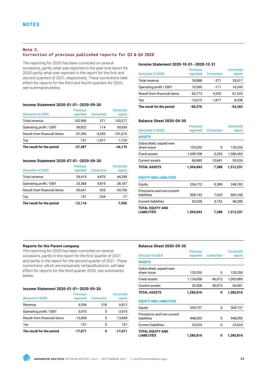## **Note 3.**

## **Correction of previous published reports for Q3 & Q4 2020**

The reporting for 2020 has been corrected on several occasions, partly what was reported in the year-end report for 2020 partly what was reported in the report for the first and second quarters of 2021, respectively. These corrections take effect for reports for the third and fourth quarters for 2020, see summaries below.

## **Income Statement 2020-01-01--2020-09-30**

| The result for the period   | $-37,387$                   |                   | $-44.175$                  |
|-----------------------------|-----------------------------|-------------------|----------------------------|
| Tax                         | 157                         | $-1.877$          | $-1,720$                   |
| Result from financial items | $-97.356$                   | $-4.259$          | $-101,615$                 |
| Operating profit / EBIT     | 59.822                      | 114               | 59,936                     |
| Total revenue               | 102,906                     | 371               | 103,277                    |
| <b>Amounts in kSEK</b>      | <b>Previous</b><br>reported | <b>Correction</b> | <b>Corrected</b><br>report |

## **Income Statement 2020-07-01--2020-09-30**

| <b>Amounts in kSEK</b>             | <b>Previous</b><br>reported | <b>Correction</b> | Corrected<br>report |
|------------------------------------|-----------------------------|-------------------|---------------------|
| Total revenue                      | 39,419                      | 4,870             | 44,289              |
| Operating profit / EBIT            | 23,368                      | 4,819             | 28,187              |
| <b>Result from financial items</b> | $-35,641$                   | 935               | $-34,706$           |
| Tax                                | 157                         | $-234$            | -77                 |
| The result for the period          | $-12,116$                   |                   | $-7,092$            |

### **Income Statement 2020-10-01--2020-12-31**

| <b>Amounts in kSEK</b>             | <b>Previous</b><br>reported | Correction | Corrected<br>report |
|------------------------------------|-----------------------------|------------|---------------------|
| Total revenue                      | 35,888                      | -371       | 35,517              |
| Operating profit / EBIT            | 16,360                      | $-117$     | 16,243              |
| <b>Result from financial items</b> | $-65,773$                   | 4,250      | $-61,523$           |
| Tax                                | $-10,215$                   | 1.877      | $-8,338$            |
| The result for the period          | $-60,376$                   |            | $-54.302$           |

## **Balance Sheet 2020-09-30**

| <b>Amounts in kSEK</b>                | <b>Previous</b><br>reported | <b>Correction</b> | Corrected<br>report |
|---------------------------------------|-----------------------------|-------------------|---------------------|
| <b>ASSETS</b>                         |                             |                   |                     |
| Subscribed, unpaid new<br>share issue | 120.250                     | 0                 | 120.250             |
| <b>Fixed assets</b>                   | 1,099,708                   | $-3.253$          | 1.096.455           |
| <b>Current assets</b>                 | 84.885                      | 10.641            | 95,526              |
| <b>TOTAL ASSETS</b>                   | 1.304.843                   | 7.388             | 1,312,231           |

## **EQUITY AND LIABILITIES**

| <b>TOTAL EQUITY AND</b><br><b>LIABILITIES</b> | 1,304,843 | 7.388    | 1,312,231 |
|-----------------------------------------------|-----------|----------|-----------|
| <b>Current liabilities</b>                    | 92.528    | 5.752    | 98,280    |
| Provisions and non-current<br>liabilities     | 958,143   | 7.025    | 965,168   |
| Equity                                        | 254,172   | $-5,389$ | 248,783   |

## **Reports for the Parent company**

The reporting for 2020 has been corrected on several occasions, partly in the report for the first quarter of 2021 and partly in the report for the second quarter of 2021. These corrections, which are exclusively reclassifications, will take effect for reports for the third quarter 2020, see summaries below.

## **Income Statement 2020-01-01–2020-09-30**

| <b>Amount in kSEK</b>              | <b>Previous</b><br>reported | <b>Correction</b> | <b>Corrected</b><br>report |
|------------------------------------|-----------------------------|-------------------|----------------------------|
| Revenue                            | 6.594                       | 218               | 6,812                      |
| Operating profit / EBIT            | $-3,970$                    | 0                 | $-3,970$                   |
| <b>Result from financial items</b> | $-13,858$                   | 0                 | $-13,858$                  |
| Tax                                | 157                         | O                 | 157                        |
| The result for the period          | $-17,671$                   | 0                 | -17.671                    |

### **Balance Sheet 2020-09-30**

|                               | <b>Previous</b> |                   | <b>Corrected</b> |
|-------------------------------|-----------------|-------------------|------------------|
| <b>Amount in kSEK</b>         | reported        | <b>Correction</b> | report           |
| <b>ASSETS</b>                 |                 |                   |                  |
| Subscribed, unpaid new        |                 |                   |                  |
| share issue                   | 120,250         | 0                 | 120,250          |
| <b>Fixed assets</b>           | 1,134,058       | $-40,073$         | 1,093,985        |
| Current assets                | 26,508          | 40,073            | 66,581           |
| <b>TOTAL ASSETS</b>           | 1,280,816       | 0                 | 1,280,816        |
| <b>EQUITY AND LIABILITIES</b> |                 |                   |                  |
| Equity                        | 309,737         | 0                 | 309,737          |
| Provisions and non-current    |                 |                   |                  |
| liabilities                   | 948,055         | 0                 | 948,055          |
| <b>Current liabilities</b>    | 23,024          | 0                 | 23,024           |
| TOTAL EQUITY AND              |                 |                   |                  |
| <b>LIABILITIES</b>            | 1,280,816       | 0                 | 1,280,816        |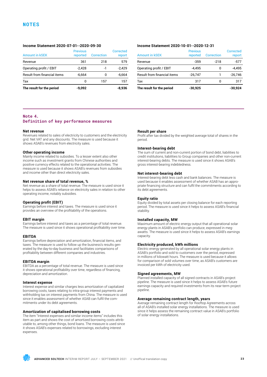## **NOTES**

## **Income Statement 2020-07-01--2020-09-30**

| Tax<br>The result for the period   | 0<br>$-9.092$               | 157        | 157<br>-8.936       |
|------------------------------------|-----------------------------|------------|---------------------|
| <b>Result from financial items</b> | $-6.664$                    | 0          | $-6.664$            |
| Operating profit / EBIT            | $-2,428$                    | -1         | $-2.429$            |
| Revenue                            | 361                         | 218        | 579                 |
| <b>Amount in kSEK</b>              | <b>Previous</b><br>reported | Correction | Corrected<br>report |

## **Income Statement 2020-10-01--2020-12-31**

| <b>Amount in kSEK</b>              | <b>Previous</b><br>reported | Correction | Corrected<br>report |
|------------------------------------|-----------------------------|------------|---------------------|
| Revenue                            | $-359$                      | $-218$     | -577                |
| Operating profit / EBIT            | $-4.495$                    | 0          | -4.495              |
| <b>Result from financial items</b> | $-26.747$                   |            | $-26.746$           |
| Tax                                | 317                         | ŋ          | 317                 |
| The result for the period          | $-30,925$                   |            | $-30,924$           |

## **Note 4. Definition of key performance measures**

#### **Net revenue**

Revenues related to sales of electricity to customers and the electricity grid. Net VAT and any discounts. The measure is used because it shows ASAB's revenues from electricity sales.

#### **Other operating income**

Mainly income related to subsidies. To a lesser extent also other income such as investment grants from Chinese authorities and positive currency effects related to the operational activities. The measure is used because it shows ASAB's revenues from subsidies and income other than direct electricity sales.

## **Net revenue share of total revenue, %**

Net revenue as a share of total revenue. The measure is used since it helps to assess ASAB's reliance on electricity sales in relation to other operating income, notably subsidies.

## **Operating profit (EBIT)**

Earnings before interest and taxes. The measure is used since it provides an overview of the profitability of the operations.

#### **EBIT margin**

Earnings before interest and taxes as a percentage of total revenue. The measure is used since it shows operational profitability over time.

#### **EBITDA**

Earnings before depreciation and amortization, financial items, and taxes. The measure is used to follow up the business's results generated by the day-to-day business and facilitates comparisons of profitability between different companies and industries.

### **EBITDA margin**

EBITDA as a percentage of total revenue. The measure is used since it shows operational profitability over time, regardless of financing, depreciation and amortization.

## **Interest expense**

Interest expense and similar charges less amortization of capitalized borrowing costs, taxes relating to intra-group interest payments and withholding tax on interest payments from China. The measure is used since it enables assessment of whether ASAB can fulfil the commitments under its debt agreements.

### **Amortization of capitalised borrowing costs**

The item "Interest expenses and similar income items" includes this item as part and shows the cost of amortized borrowing costs attributable to, among other things, bond loans. The measure is used since it shows ASAB's expenses related to borrowings, excluding interest expenses.

#### **Result per share**

Profit after tax divided by the weighted average total of shares in the period.

#### **Interest-bearing debt**

The sum of current and non-current portion of bond debt, liabilities to credit institutions, liabilities to Group companies and other non-current interest-bearing debts. The measure is used since it shows ASAB's gross interest-bearing indebtedness.

## **Net interest-bearing debt**

Interest-bearing debt less cash and bank balances. The measure is used because it enables assessment of whether ASAB has an appropriate financing structure and can fulfil the commitments according to its debt agreements.

## **Equity ratio**

Equity divided by total assets per closing balance for each reporting period. The measure is used since it helps to assess ASAB's financial stability.

#### **Installed capacity, MW**

Maximum amount of electric energy output that all operational solar energy plants in ASAB's portfolio can produce, expressed in megawatts. The measure is used since it helps to assess ASAB's earnings capacity.

#### **Electricity produced, kWh millions**

Electric energy generated by all operational solar energy plants in ASAB's portfolio and sold to customers over the period, expressed in millions of kilowatt hours. The measure is used because it allows for comparison of sold volumes over time, as ASAB's customers are invoiced per kWh of electricity used.

#### **Signed agreements, MW**

Planned installed capacity of all signed contracts in ASAB's project pipeline. The measure is used since it helps to assess ASAB's future earnings capacity and required investments from its near-term project pipeline.

#### **Average remaining contract length, years**

Average remaining contract length for Rooftop Agreements across all of ASAB's installed solar energy installations. The measure is used since it helps assess the remaining contract value in ASAB's portfolio of solar energy installations.